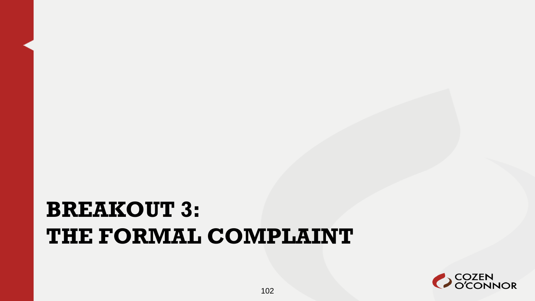#### **BREAKOUT 3: THE FORMAL COMPLAINT**

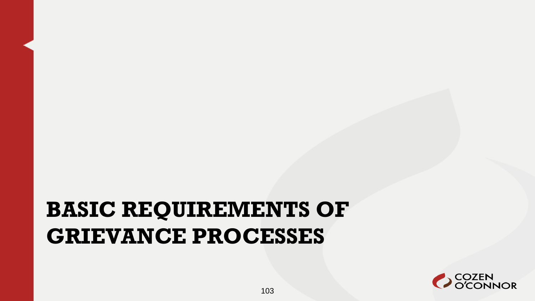#### **BASIC REQUIREMENTS OF GRIEVANCE PROCESSES**

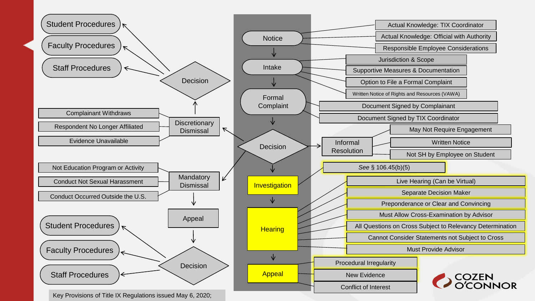

Key Provisions of Title IX Regulations issued May 6, 2020;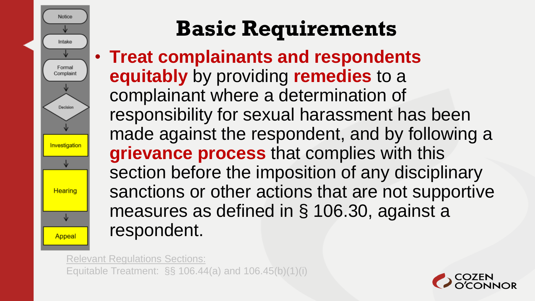

• **Treat complainants and respondents equitably** by providing **remedies** to a complainant where a determination of responsibility for sexual harassment has been made against the respondent, and by following a **grievance process** that complies with this section before the imposition of any disciplinary sanctions or other actions that are not supportive measures as defined in § 106.30, against a respondent.

Relevant Regulations Sections: Equitable Treatment: §§ 106.44(a) and 106.45(b)(1)(i)

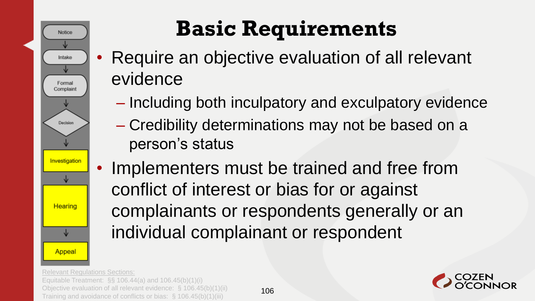

- Require an objective evaluation of all relevant evidence
	- Including both inculpatory and exculpatory evidence
	- Credibility determinations may not be based on a person's status
- Implementers must be trained and free from conflict of interest or bias for or against complainants or respondents generally or an individual complainant or respondent

Relevant Regulations Sections: Equitable Treatment: §§ 106.44(a) and 106.45(b)(1)(i) Objective evaluation of all relevant evidence: § 106.45(b)(1)(ii) Objective evaluation of all relevant evidence:  $\S$  106.45(b)(1)(li)  $106$ <br>Training and avoidance of conflicts or bias:  $\S$  106.45(b)(1)(iii)

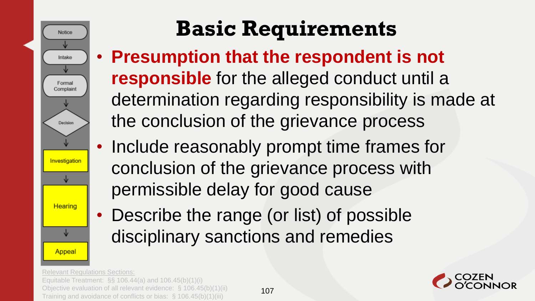

- **Presumption that the respondent is not responsible** for the alleged conduct until a determination regarding responsibility is made at the conclusion of the grievance process
- Include reasonably prompt time frames for conclusion of the grievance process with permissible delay for good cause
- Describe the range (or list) of possible disciplinary sanctions and remedies

Relevant Regulations Sections: Equitable Treatment: §§ 106.44(a) and 106.45(b)(1)(i) Objective evaluation of all relevant evidence: § 106.45(b)(1)(ii)

Training and avoidance of conflicts or bias: § 106.45(b)(1)(iii)

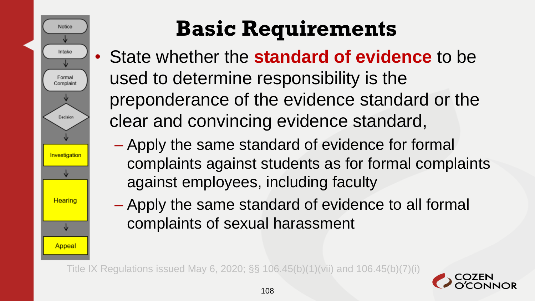

- State whether the **standard of evidence** to be used to determine responsibility is the preponderance of the evidence standard or the clear and convincing evidence standard,
	- Apply the same standard of evidence for formal complaints against students as for formal complaints against employees, including faculty
	- Apply the same standard of evidence to all formal complaints of sexual harassment

Title IX Regulations issued May 6, 2020; §§ 106.45(b)(1)(vii) and 106.45(b)(7)(i)

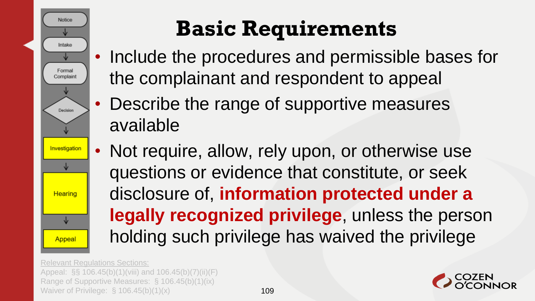

- Include the procedures and permissible bases for the complainant and respondent to appeal
	- Describe the range of supportive measures available
- Not require, allow, rely upon, or otherwise use questions or evidence that constitute, or seek disclosure of, **information protected under a legally recognized privilege**, unless the person holding such privilege has waived the privilege

Relevant Regulations Sections: Appeal: §§ 106.45(b)(1)(viii) and 106.45(b)(7)(ii)(F) Range of Supportive Measures: § 106.45(b)(1)(ix) Waiver of Privilege:  $\frac{109}{109}$ 

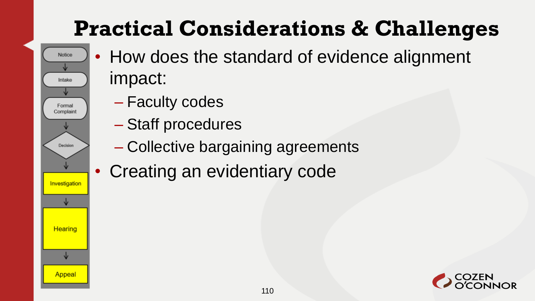# **Practical Considerations & Challenges**

- How does the standard of evidence alignment impact:
	- Faculty codes

Notice

Intake

Formal Complaint

Decision

Investigation

Hearing

Appeal

- Staff procedures
- Collective bargaining agreements
- Creating an evidentiary code

110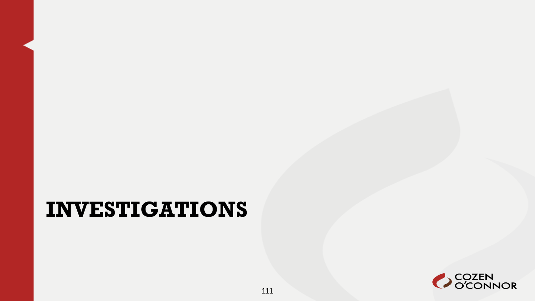#### **INVESTIGATIONS**

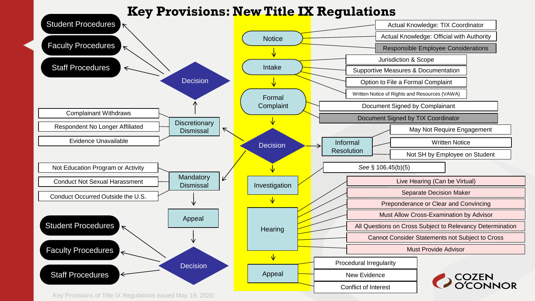#### **Key Provisions: New Title IX Regulations**



Key Provisions of Title IX Regulations issued May 19, 2020;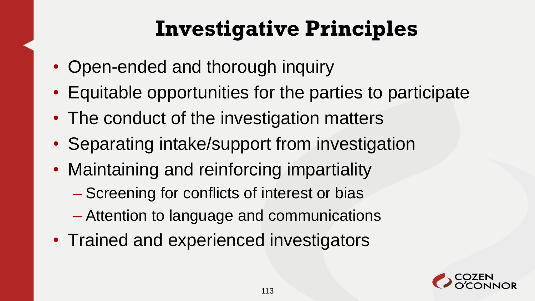## **Investigative Principles**

- Open-ended and thorough inquiry
- Equitable opportunities for the parties to participate
- The conduct of the investigation matters
- Separating intake/support from investigation
- Maintaining and reinforcing impartiality
	- Screening for conflicts of interest or bias
	- Attention to language and communications
- Trained and experienced investigators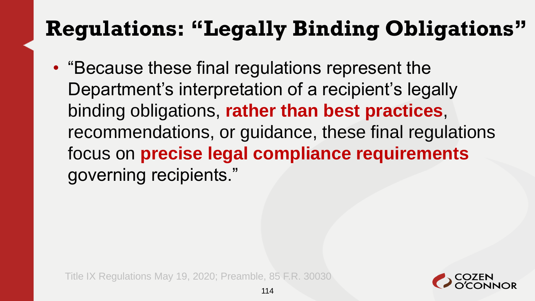#### **Regulations: "Legally Binding Obligations"**

• "Because these final regulations represent the Department's interpretation of a recipient's legally binding obligations, **rather than best practices**, recommendations, or guidance, these final regulations focus on **precise legal compliance requirements** governing recipients."

Title IX Regulations May 19, 2020; Preamble, 85 F.R. 30030

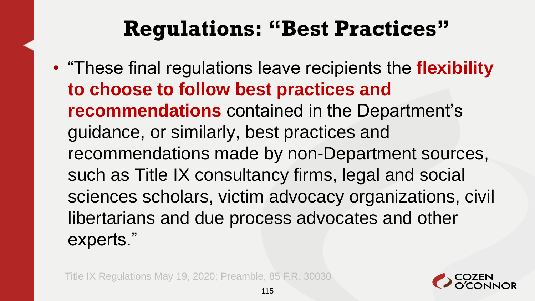#### **Regulations: "Best Practices"**

• "These final regulations leave recipients the **flexibility to choose to follow best practices and recommendations** contained in the Department's guidance, or similarly, best practices and recommendations made by non-Department sources, such as Title IX consultancy firms, legal and social sciences scholars, victim advocacy organizations, civil libertarians and due process advocates and other experts."

Title IX Regulations May 19, 2020; Preamble, 85 F.R. 30030

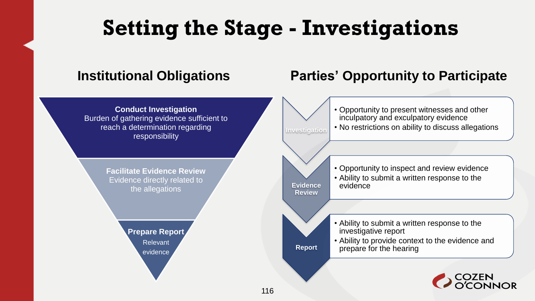#### **Setting the Stage - Investigations**

**Investigation**

**Evidence Review**

**Report**

**Conduct Investigation** Burden of gathering evidence sufficient to reach a determination regarding responsibility

> **Facilitate Evidence Review** Evidence directly related to the allegations

> > **Prepare Report** Relevant evidence

#### **Institutional Obligations Parties' Opportunity to Participate**

• Opportunity to present witnesses and other inculpatory and exculpatory evidence • No restrictions on ability to discuss allegations

• Opportunity to inspect and review evidence • Ability to submit a written response to the evidence

• Ability to submit a written response to the investigative report

• Ability to provide context to the evidence and prepare for the hearing

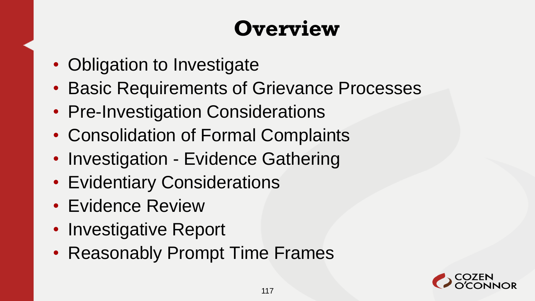#### **Overview**

- Obligation to Investigate
- Basic Requirements of Grievance Processes
- Pre-Investigation Considerations
- Consolidation of Formal Complaints
- Investigation Evidence Gathering
- Evidentiary Considerations
- Evidence Review
- Investigative Report
- Reasonably Prompt Time Frames

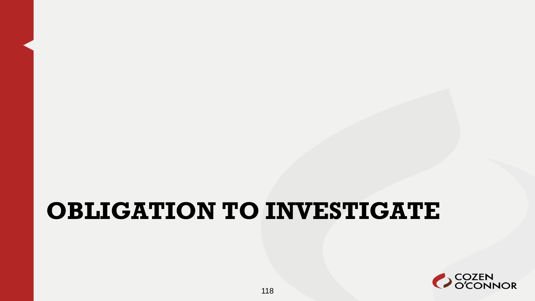## **OBLIGATION TO INVESTIGATE**

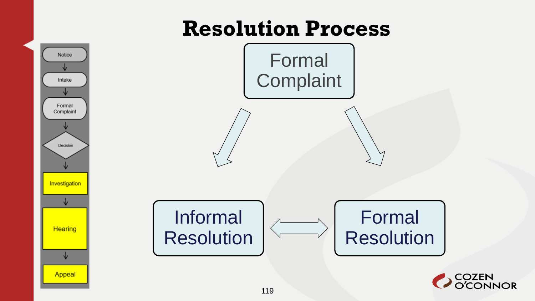#### **Resolution Process**

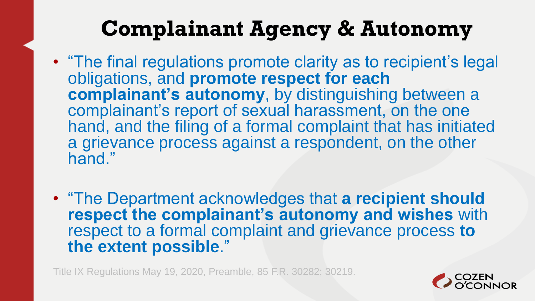#### **Complainant Agency & Autonomy**

- "The final regulations promote clarity as to recipient's legal obligations, and **promote respect for each complainant's autonomy**, by distinguishing between a complainant's report of sexual harassment, on the one hand, and the filing of a formal complaint that has initiated a grievance process against a respondent, on the other hand."
- "The Department acknowledges that **a recipient should respect the complainant's autonomy and wishes** with respect to a formal complaint and grievance process **to the extent possible**."

Title IX Regulations May 19, 2020, Preamble, 85 F.R. 30282; 30219.

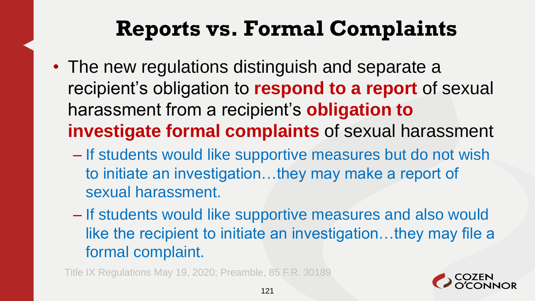#### **Reports vs. Formal Complaints**

- The new regulations distinguish and separate a recipient's obligation to **respond to a report** of sexual harassment from a recipient's **obligation to investigate formal complaints** of sexual harassment
	- If students would like supportive measures but do not wish to initiate an investigation…they may make a report of sexual harassment.
	- If students would like supportive measures and also would like the recipient to initiate an investigation…they may file a formal complaint.

Title IX Regulations May 19, 2020; Preamble, 85 F.R. 30189

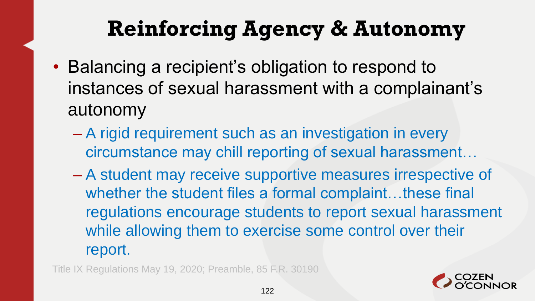#### **Reinforcing Agency & Autonomy**

- Balancing a recipient's obligation to respond to instances of sexual harassment with a complainant's autonomy
	- A rigid requirement such as an investigation in every circumstance may chill reporting of sexual harassment…
	- A student may receive supportive measures irrespective of whether the student files a formal complaint...these final regulations encourage students to report sexual harassment while allowing them to exercise some control over their report.

Title IX Regulations May 19, 2020; Preamble, 85 F.R. 30190

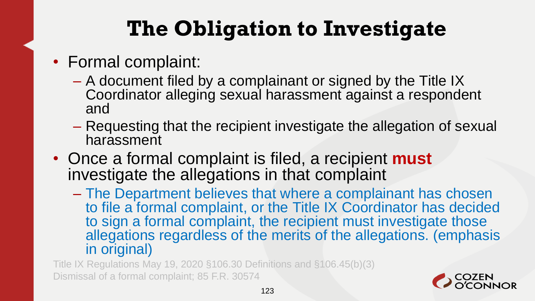# **The Obligation to Investigate**

- Formal complaint:
	- A document filed by a complainant or signed by the Title IX Coordinator alleging sexual harassment against a respondent and
	- Requesting that the recipient investigate the allegation of sexual harassment
- Once a formal complaint is filed, a recipient **must**  investigate the allegations in that complaint
	- The Department believes that where a complainant has chosen to file a formal complaint, or the Title IX Coordinator has decided to sign a formal complaint, the recipient must investigate those allegations regardless of the merits of the allegations. (emphasis in original)

Title IX Regulations May 19, 2020 §106.30 Definitions and §106.45(b)(3) Dismissal of a formal complaint; 85 F.R. 30574

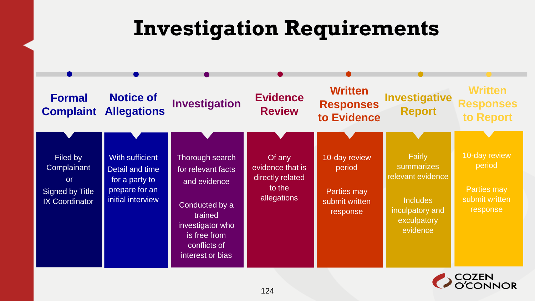#### **Investigation Requirements**



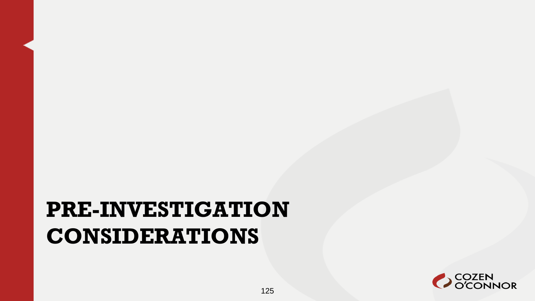#### **PRE-INVESTIGATION CONSIDERATIONS**

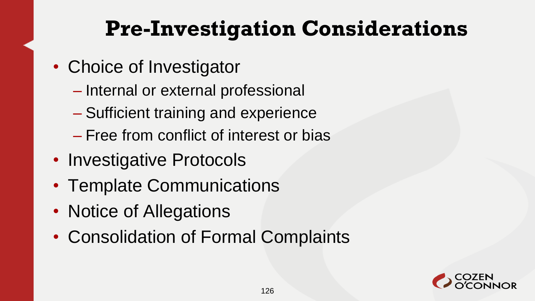#### **Pre-Investigation Considerations**

- Choice of Investigator
	- Internal or external professional
	- Sufficient training and experience
	- Free from conflict of interest or bias
- Investigative Protocols
- Template Communications
- Notice of Allegations
- Consolidation of Formal Complaints

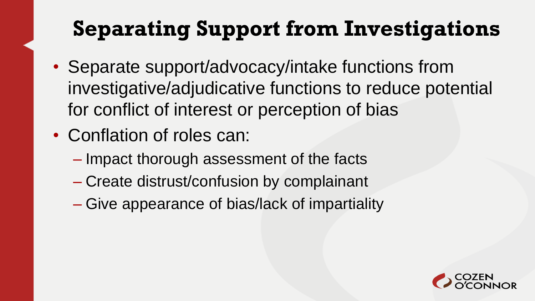# **Separating Support from Investigations**

- Separate support/advocacy/intake functions from investigative/adjudicative functions to reduce potential for conflict of interest or perception of bias
- Conflation of roles can:
	- Impact thorough assessment of the facts
	- Create distrust/confusion by complainant
	- Give appearance of bias/lack of impartiality

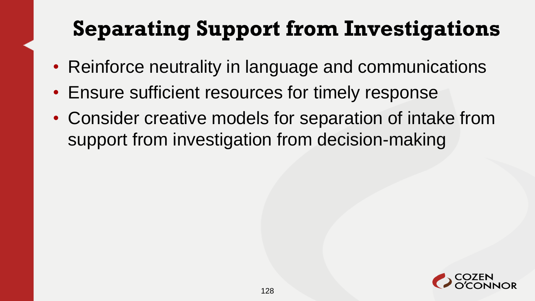# **Separating Support from Investigations**

- Reinforce neutrality in language and communications
- Ensure sufficient resources for timely response
- Consider creative models for separation of intake from support from investigation from decision-making

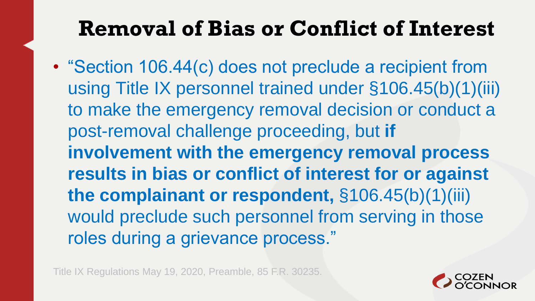#### **Removal of Bias or Conflict of Interest**

• "Section 106.44(c) does not preclude a recipient from using Title IX personnel trained under §106.45(b)(1)(iii) to make the emergency removal decision or conduct a post-removal challenge proceeding, but **if involvement with the emergency removal process results in bias or conflict of interest for or against the complainant or respondent,** §106.45(b)(1)(iii) would preclude such personnel from serving in those roles during a grievance process."

Title IX Regulations May 19, 2020, Preamble, 85 F.R. 30235.

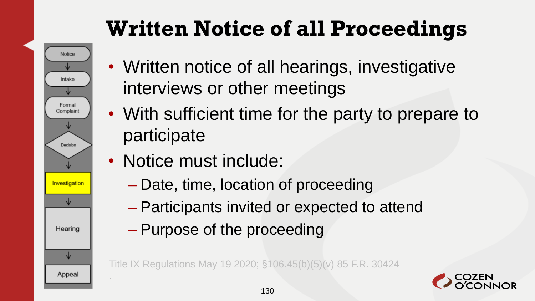# **Written Notice of all Proceedings**



.

- Written notice of all hearings, investigative interviews or other meetings
- With sufficient time for the party to prepare to participate
- Notice must include:
	- Date, time, location of proceeding
	- Participants invited or expected to attend
	- Purpose of the proceeding

Title IX Regulations May 19 2020; §106.45(b)(5)(v) 85 F.R. 30424

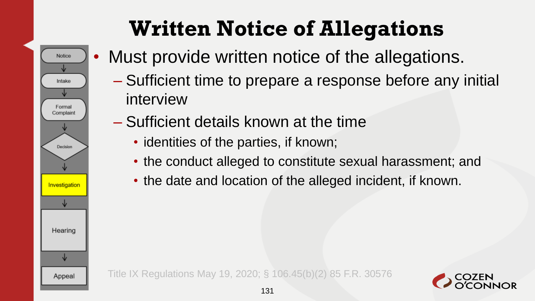Notice Intake Formal Complaint Decision Investigation Hearing ∿ Appeal

# **Written Notice of Allegations**

- Must provide written notice of the allegations.
	- Sufficient time to prepare a response before any initial interview
	- Sufficient details known at the time
		- identities of the parties, if known;
		- the conduct alleged to constitute sexual harassment; and
		- the date and location of the alleged incident, if known.

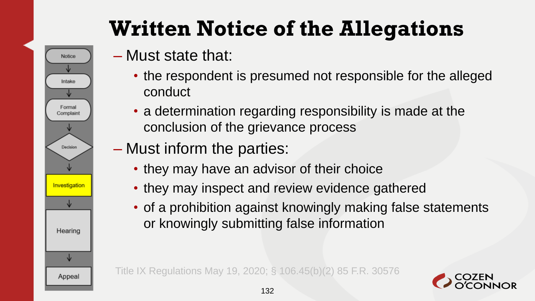# **Written Notice of the Allegations**

– Must state that:

**Notice** 

Intake

Formal Complaint

Decision

Investigation

Hearing

↓

Appeal

- the respondent is presumed not responsible for the alleged conduct
- a determination regarding responsibility is made at the conclusion of the grievance process
- Must inform the parties:
	- they may have an advisor of their choice
	- they may inspect and review evidence gathered
	- of a prohibition against knowingly making false statements or knowingly submitting false information

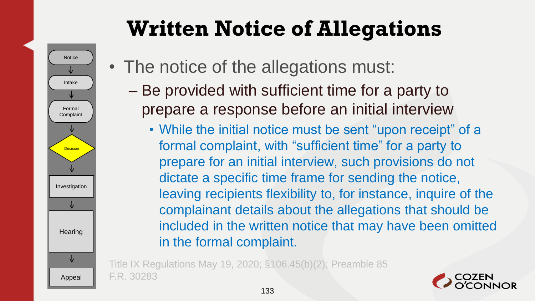# **Written Notice of Allegations**



- The notice of the allegations must:
	- Be provided with sufficient time for a party to prepare a response before an initial interview
		- While the initial notice must be sent "upon receipt" of a formal complaint, with "sufficient time" for a party to prepare for an initial interview, such provisions do not dictate a specific time frame for sending the notice, leaving recipients flexibility to, for instance, inquire of the complainant details about the allegations that should be included in the written notice that may have been omitted in the formal complaint.

Title IX Regulations May 19, 2020; §106.45(b)(2); Preamble 85 F.R. 30283

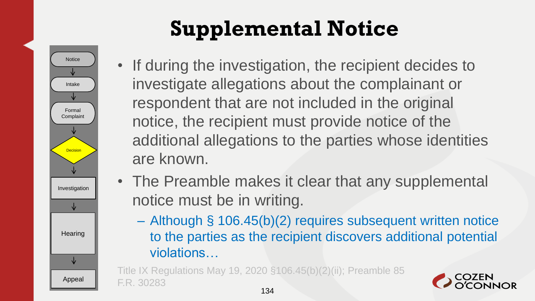

# **Supplemental Notice**

- If during the investigation, the recipient decides to investigate allegations about the complainant or respondent that are not included in the original notice, the recipient must provide notice of the additional allegations to the parties whose identities are known.
- The Preamble makes it clear that any supplemental notice must be in writing.
	- Although § 106.45(b)(2) requires subsequent written notice to the parties as the recipient discovers additional potential violations…

Title IX Regulations May 19, 2020 §106.45(b)(2)(ii); Preamble 85 F.R. 30283

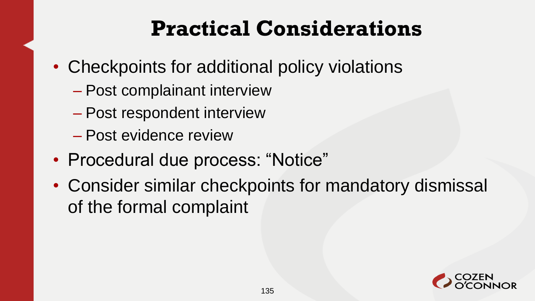#### **Practical Considerations**

- Checkpoints for additional policy violations
	- Post complainant interview
	- Post respondent interview
	- Post evidence review
- Procedural due process: "Notice"
- Consider similar checkpoints for mandatory dismissal of the formal complaint

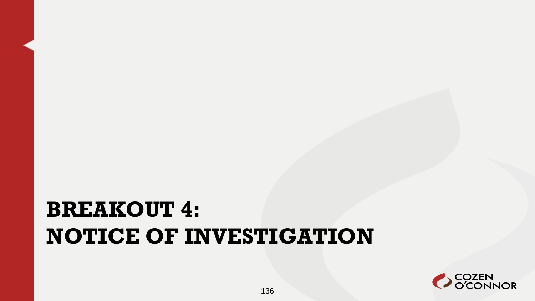#### **BREAKOUT 4: NOTICE OF INVESTIGATION**

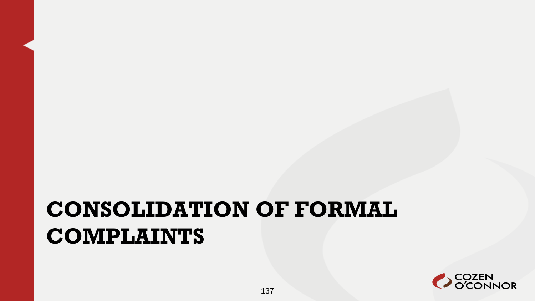#### **CONSOLIDATION OF FORMAL COMPLAINTS**

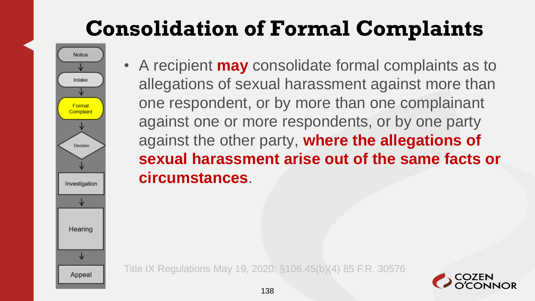- Notice Intake Formal Complaint Decision Investigation Hearing Appeal
	- A recipient **may** consolidate formal complaints as to allegations of sexual harassment against more than one respondent, or by more than one complainant against one or more respondents, or by one party against the other party, **where the allegations of sexual harassment arise out of the same facts or circumstances**.

Title IX Regulations May 19, 2020; §106.45(b)(4) 85 F.R. 30576

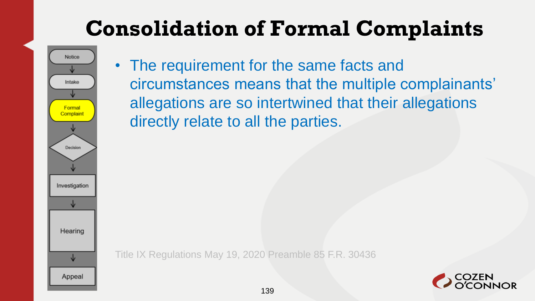

• The requirement for the same facts and circumstances means that the multiple complainants' allegations are so intertwined that their allegations directly relate to all the parties.

Title IX Regulations May 19, 2020 Preamble 85 F.R. 30436

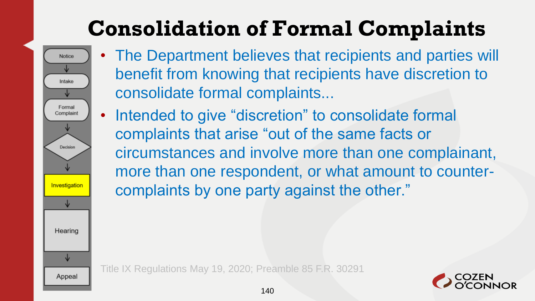

- The Department believes that recipients and parties will benefit from knowing that recipients have discretion to consolidate formal complaints...
- Intended to give "discretion" to consolidate formal complaints that arise "out of the same facts or circumstances and involve more than one complainant, more than one respondent, or what amount to countercomplaints by one party against the other."

Title IX Regulations May 19, 2020; Preamble 85 F.R. 30291

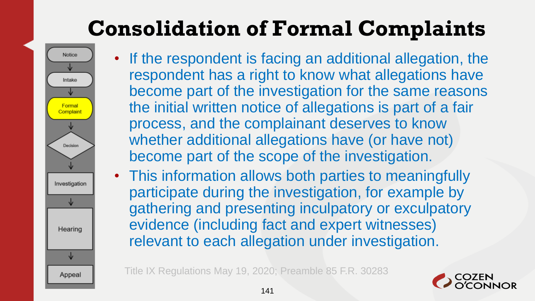

- If the respondent is facing an additional allegation, the respondent has a right to know what allegations have become part of the investigation for the same reasons the initial written notice of allegations is part of a fair process, and the complainant deserves to know whether additional allegations have (or have not) become part of the scope of the investigation.
- This information allows both parties to meaningfully participate during the investigation, for example by gathering and presenting inculpatory or exculpatory evidence (including fact and expert witnesses) relevant to each allegation under investigation.

Title IX Regulations May 19, 2020; Preamble 85 F.R. 30283

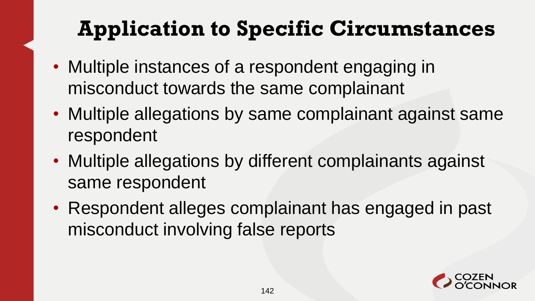## **Application to Specific Circumstances**

- Multiple instances of a respondent engaging in misconduct towards the same complainant
- Multiple allegations by same complainant against same respondent
- Multiple allegations by different complainants against same respondent
- Respondent alleges complainant has engaged in past misconduct involving false reports

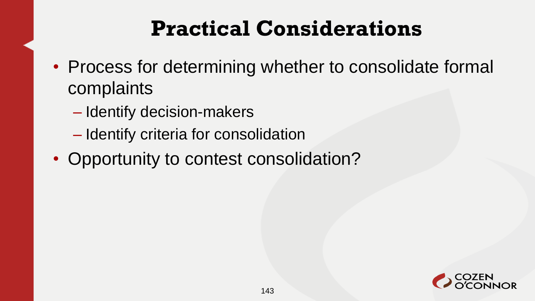#### **Practical Considerations**

- Process for determining whether to consolidate formal complaints
	- Identify decision-makers
	- Identify criteria for consolidation
- Opportunity to contest consolidation?

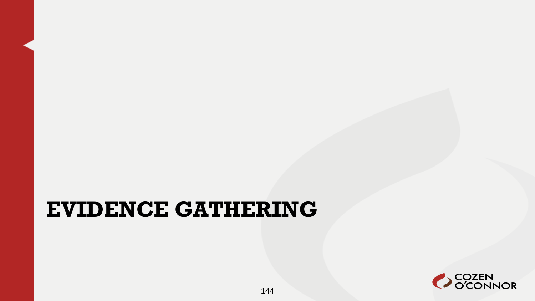#### **EVIDENCE GATHERING**

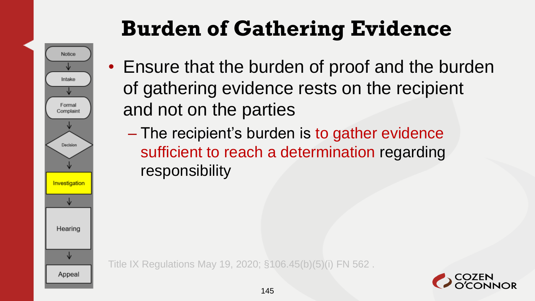# Notice Intake Formal Complaint Decision Investigation Hearing ↓ Appeal

# **Burden of Gathering Evidence**

- Ensure that the burden of proof and the burden of gathering evidence rests on the recipient and not on the parties
	- The recipient's burden is to gather evidence sufficient to reach a determination regarding responsibility

Title IX Regulations May 19, 2020; §106.45(b)(5)(i) FN 562 .

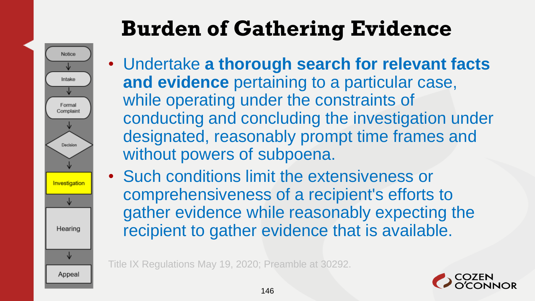# **Burden of Gathering Evidence**



- Undertake **a thorough search for relevant facts and evidence** pertaining to a particular case, while operating under the constraints of conducting and concluding the investigation under designated, reasonably prompt time frames and without powers of subpoena.
- Such conditions limit the extensiveness or comprehensiveness of a recipient's efforts to gather evidence while reasonably expecting the recipient to gather evidence that is available.

Title IX Regulations May 19, 2020; Preamble at 30292.

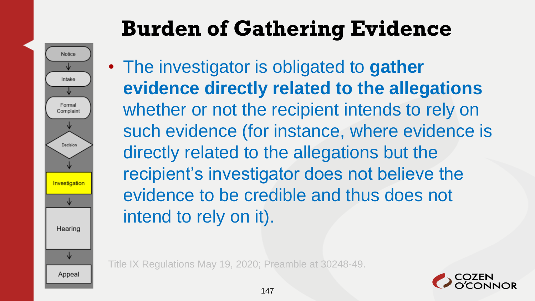Notice Intake Formal Complaint Decision Investigation Hearing ↓ Appeal

## **Burden of Gathering Evidence**

• The investigator is obligated to **gather evidence directly related to the allegations**  whether or not the recipient intends to rely on such evidence (for instance, where evidence is directly related to the allegations but the recipient's investigator does not believe the evidence to be credible and thus does not intend to rely on it).

Title IX Regulations May 19, 2020; Preamble at 30248-49.

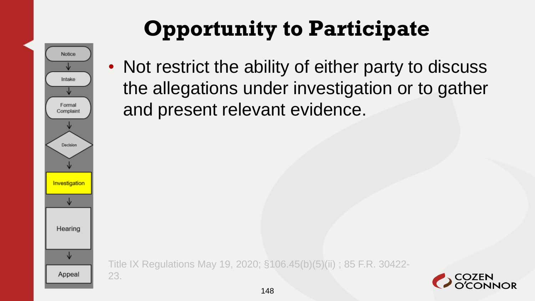

23.

#### **Opportunity to Participate**

• Not restrict the ability of either party to discuss the allegations under investigation or to gather and present relevant evidence.

Title IX Regulations May 19, 2020; §106.45(b)(5)(ii) ; 85 F.R. 30422-

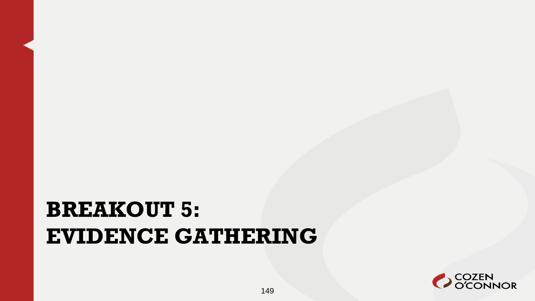#### **BREAKOUT 5: EVIDENCE GATHERING**

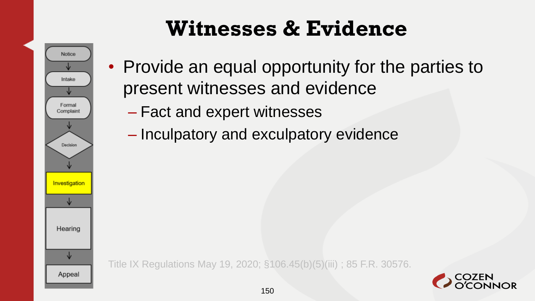#### **Witnesses & Evidence**



- Provide an equal opportunity for the parties to present witnesses and evidence
	- Fact and expert witnesses
	- Inculpatory and exculpatory evidence

Title IX Regulations May 19, 2020; §106.45(b)(5)(iii) ; 85 F.R. 30576.

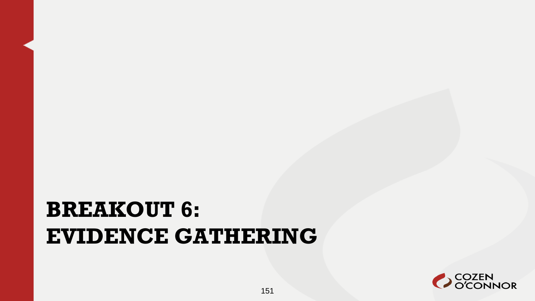#### **BREAKOUT 6: EVIDENCE GATHERING**

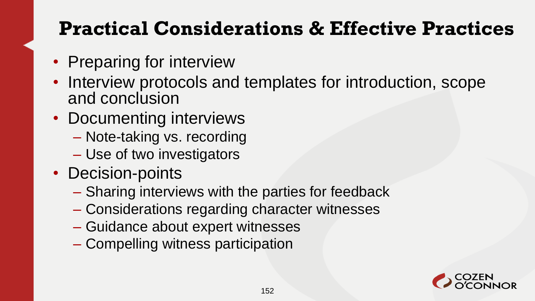#### **Practical Considerations & Effective Practices**

- Preparing for interview
- Interview protocols and templates for introduction, scope and conclusion
- Documenting interviews
	- Note-taking vs. recording
	- Use of two investigators
- Decision-points
	- Sharing interviews with the parties for feedback
	- Considerations regarding character witnesses
	- Guidance about expert witnesses
	- Compelling witness participation

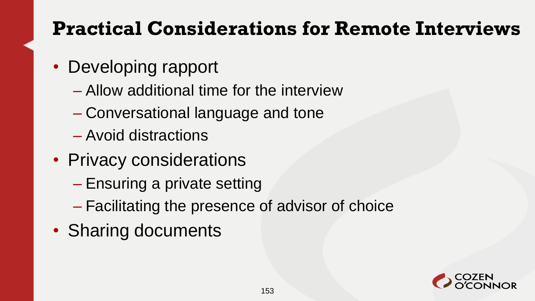#### **Practical Considerations for Remote Interviews**

- Developing rapport
	- Allow additional time for the interview
	- Conversational language and tone
	- Avoid distractions
- Privacy considerations
	- Ensuring a private setting
	- Facilitating the presence of advisor of choice
- Sharing documents

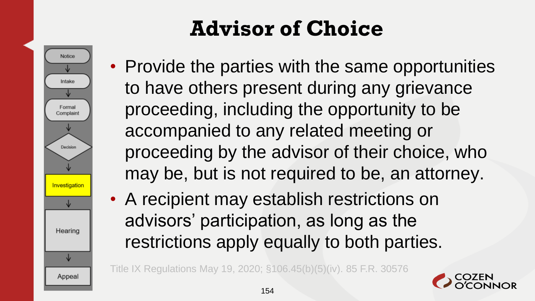**Notice** Intake Formal Complaint Decision Investigation Hearing Appeal

# **Advisor of Choice**

- Provide the parties with the same opportunities to have others present during any grievance proceeding, including the opportunity to be accompanied to any related meeting or proceeding by the advisor of their choice, who may be, but is not required to be, an attorney.
- A recipient may establish restrictions on advisors' participation, as long as the restrictions apply equally to both parties.

Title IX Regulations May 19, 2020; §106.45(b)(5)(iv). 85 F.R. 30576

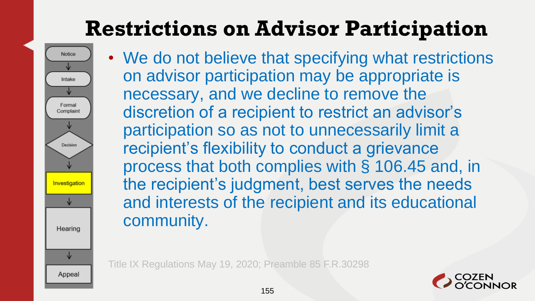### **Restrictions on Advisor Participation**



• We do not believe that specifying what restrictions on advisor participation may be appropriate is necessary, and we decline to remove the discretion of a recipient to restrict an advisor's participation so as not to unnecessarily limit a recipient's flexibility to conduct a grievance process that both complies with § 106.45 and, in the recipient's judgment, best serves the needs and interests of the recipient and its educational community.

Title IX Regulations May 19, 2020; Preamble 85 F.R.30298

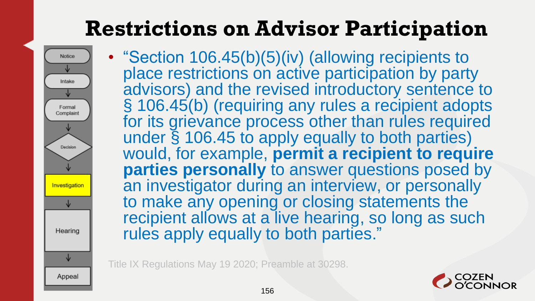#### **Restrictions on Advisor Participation**

- **Notice** Intake Formal Complaint Decision Investigation Hearing Appeal
- "Section 106.45(b)(5)(iv) (allowing recipients to place restrictions on active participation by party advisors) and the revised introductory sentence to § 106.45(b) (requiring any rules a recipient adopts for its grievance process other than rules required under § 106.45 to apply equally to both parties) would, for example, **permit a recipient to require parties personally** to answer questions posed by an investigator during an interview, or personally to make any opening or closing statements the recipient allows at a live hearing, so long as such rules apply equally to both parties."

Title IX Regulations May 19 2020; Preamble at 30298.

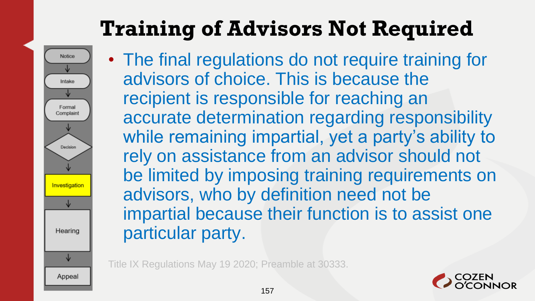## **Training of Advisors Not Required**



• The final regulations do not require training for advisors of choice. This is because the recipient is responsible for reaching an accurate determination regarding responsibility while remaining impartial, yet a party's ability to rely on assistance from an advisor should not be limited by imposing training requirements on advisors, who by definition need not be impartial because their function is to assist one particular party.

Title IX Regulations May 19 2020; Preamble at 30333.

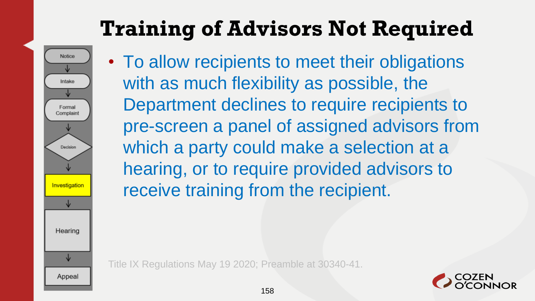## **Training of Advisors Not Required**



• To allow recipients to meet their obligations with as much flexibility as possible, the Department declines to require recipients to pre-screen a panel of assigned advisors from which a party could make a selection at a hearing, or to require provided advisors to receive training from the recipient.

Title IX Regulations May 19 2020; Preamble at 30340-41.

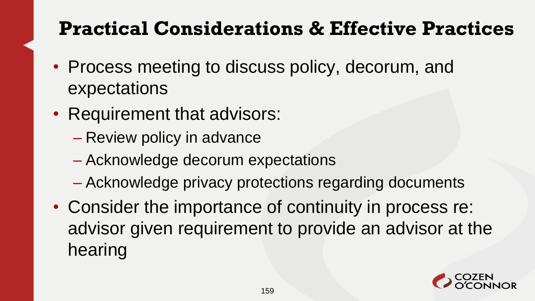#### **Practical Considerations & Effective Practices**

- Process meeting to discuss policy, decorum, and expectations
- Requirement that advisors:
	- Review policy in advance
	- Acknowledge decorum expectations
	- Acknowledge privacy protections regarding documents
- Consider the importance of continuity in process re: advisor given requirement to provide an advisor at the hearing

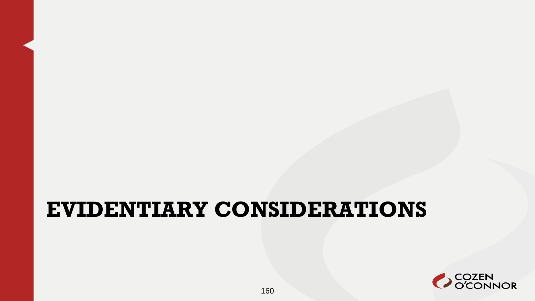#### **EVIDENTIARY CONSIDERATIONS**

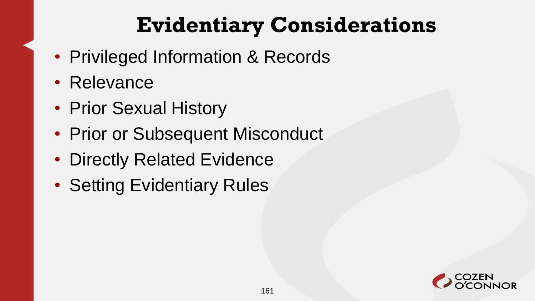#### **Evidentiary Considerations**

- Privileged Information & Records
- Relevance
- Prior Sexual History
- Prior or Subsequent Misconduct
- Directly Related Evidence
- Setting Evidentiary Rules

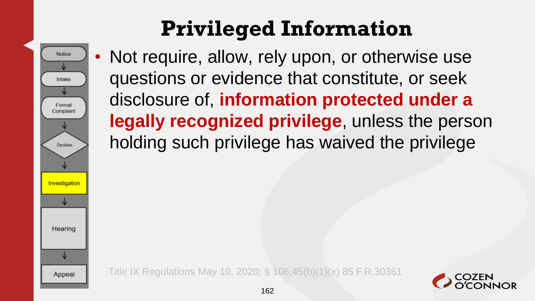## **Privileged Information**

Notice Intake Formal Complaint Decision Investigation Hearing Appeal

Not require, allow, rely upon, or otherwise use questions or evidence that constitute, or seek disclosure of, **information protected under a legally recognized privilege**, unless the person holding such privilege has waived the privilege

Title IX Regulations May 19, 2020; § 106.45(b)(1)(x) 85 F.R.30361

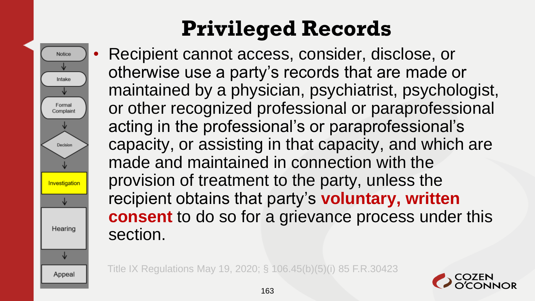

# **Privileged Records**

• Recipient cannot access, consider, disclose, or otherwise use a party's records that are made or maintained by a physician, psychiatrist, psychologist, or other recognized professional or paraprofessional acting in the professional's or paraprofessional's capacity, or assisting in that capacity, and which are made and maintained in connection with the provision of treatment to the party, unless the recipient obtains that party's **voluntary, written consent** to do so for a grievance process under this section.

Title IX Regulations May 19, 2020; § 106.45(b)(5)(i) 85 F.R.30423

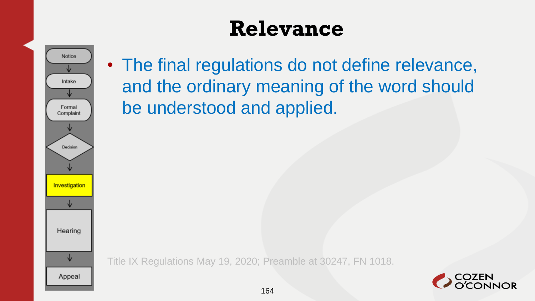#### **Relevance**



• The final regulations do not define relevance, and the ordinary meaning of the word should be understood and applied.

Title IX Regulations May 19, 2020; Preamble at 30247, FN 1018.

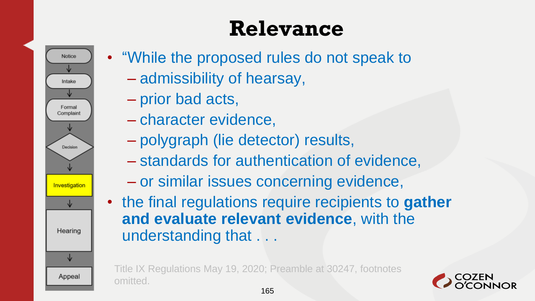### **Relevance**



- "While the proposed rules do not speak to
	- admissibility of hearsay,
	- prior bad acts,
	- character evidence,
	- polygraph (lie detector) results,
	- standards for authentication of evidence,
	- or similar issues concerning evidence,
- the final regulations require recipients to **gather and evaluate relevant evidence**, with the understanding that . . .

Title IX Regulations May 19, 2020; Preamble at 30247, footnotes omitted.

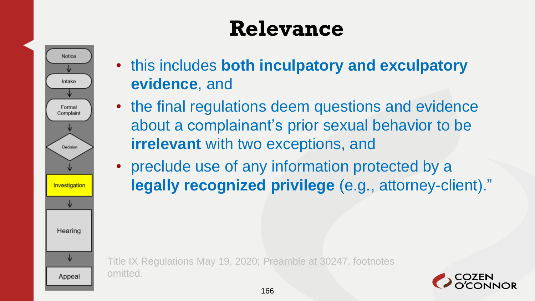#### **Relevance**



- this includes **both inculpatory and exculpatory evidence**, and
- the final regulations deem questions and evidence about a complainant's prior sexual behavior to be **irrelevant** with two exceptions, and
- preclude use of any information protected by a **legally recognized privilege** (e.g., attorney-client)."

Title IX Regulations May 19, 2020; Preamble at 30247, footnotes omitted.

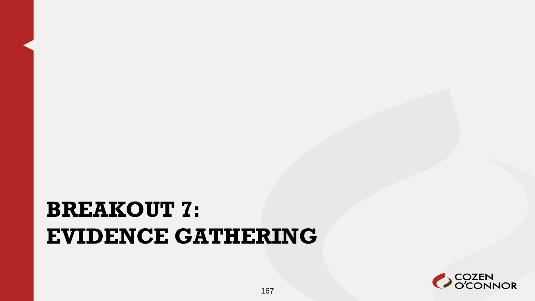#### **BREAKOUT 7: EVIDENCE GATHERING**

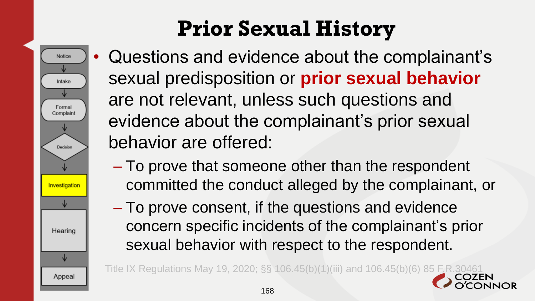# **Prior Sexual History**



- Questions and evidence about the complainant's sexual predisposition or **prior sexual behavior**  are not relevant, unless such questions and evidence about the complainant's prior sexual behavior are offered:
	- To prove that someone other than the respondent committed the conduct alleged by the complainant, or
	- To prove consent, if the questions and evidence concern specific incidents of the complainant's prior sexual behavior with respect to the respondent.

Title IX Regulations May 19, 2020; §§ 106.45(b)(1)(iii) and 106.45(b)(6) 85 F.F.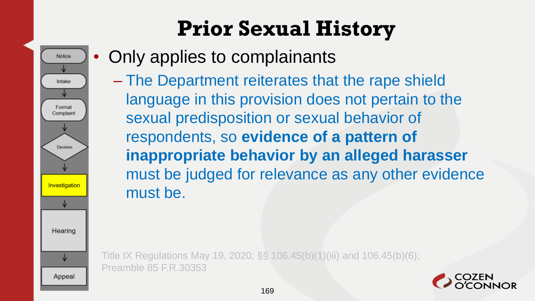# **Prior Sexual History**



**Notice** 

Intake

Formal Complaint

Decision

Investigation

Hearing

Appeal

– The Department reiterates that the rape shield language in this provision does not pertain to the sexual predisposition or sexual behavior of respondents, so **evidence of a pattern of inappropriate behavior by an alleged harasser**  must be judged for relevance as any other evidence must be.

Title IX Regulations May 19, 2020; §§ 106.45(b)(1)(iii) and 106.45(b)(6); Preamble 85 F.R.30353

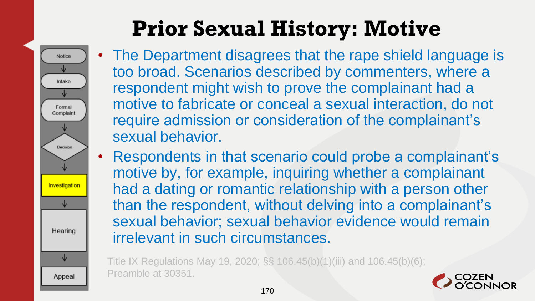# **Prior Sexual History: Motive**

**Notice** 

Intake

Formal Complaint

Decision

Investigatio

Hearing

Appeal

- The Department disagrees that the rape shield language is too broad. Scenarios described by commenters, where a respondent might wish to prove the complainant had a motive to fabricate or conceal a sexual interaction, do not require admission or consideration of the complainant's sexual behavior.
- Respondents in that scenario could probe a complainant's motive by, for example, inquiring whether a complainant had a dating or romantic relationship with a person other than the respondent, without delving into a complainant's sexual behavior; sexual behavior evidence would remain irrelevant in such circumstances.

Title IX Regulations May 19, 2020; §§ 106.45(b)(1)(iii) and 106.45(b)(6); Preamble at 30351.

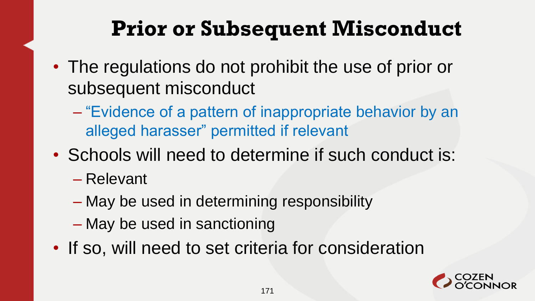#### **Prior or Subsequent Misconduct**

- The regulations do not prohibit the use of prior or subsequent misconduct
	- "Evidence of a pattern of inappropriate behavior by an alleged harasser" permitted if relevant
- Schools will need to determine if such conduct is:
	- Relevant
	- May be used in determining responsibility
	- May be used in sanctioning
- If so, will need to set criteria for consideration

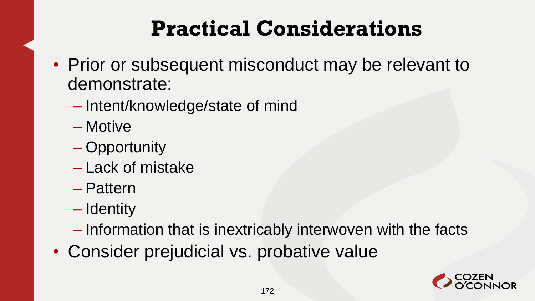#### **Practical Considerations**

- Prior or subsequent misconduct may be relevant to demonstrate:
	- Intent/knowledge/state of mind
	- Motive
	- Opportunity
	- Lack of mistake
	- Pattern
	- Identity
	- Information that is inextricably interwoven with the facts
- Consider prejudicial vs. probative value

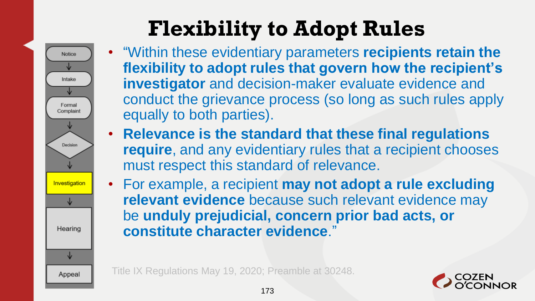# **Flexibility to Adopt Rules**



- "Within these evidentiary parameters **recipients retain the flexibility to adopt rules that govern how the recipient's investigator** and decision-maker evaluate evidence and conduct the grievance process (so long as such rules apply equally to both parties).
- **Relevance is the standard that these final regulations require**, and any evidentiary rules that a recipient chooses must respect this standard of relevance.
- For example, a recipient **may not adopt a rule excluding relevant evidence** because such relevant evidence may be **unduly prejudicial, concern prior bad acts, or constitute character evidence**."

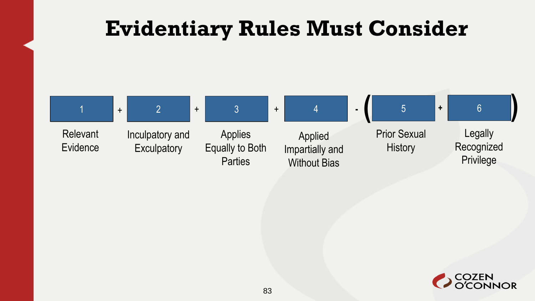#### **Evidentiary Rules Must Consider**



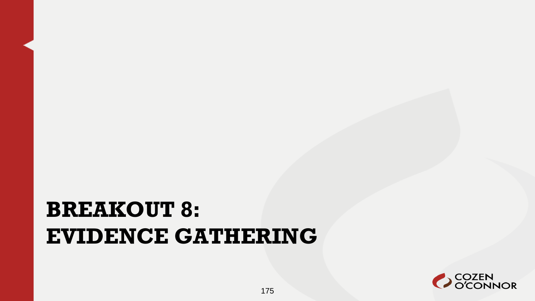#### **BREAKOUT 8: EVIDENCE GATHERING**

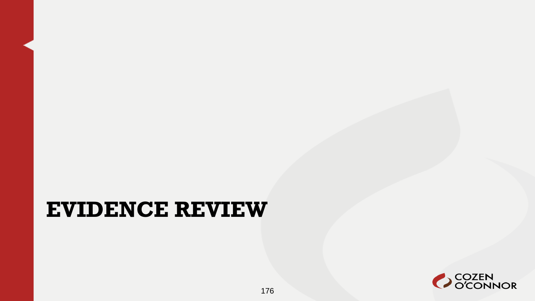#### **EVIDENCE REVIEW**

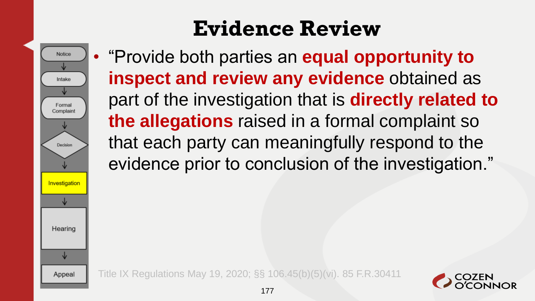### **Evidence Review**



• "Provide both parties an **equal opportunity to inspect and review any evidence** obtained as part of the investigation that is **directly related to the allegations** raised in a formal complaint so that each party can meaningfully respond to the evidence prior to conclusion of the investigation."

Title IX Regulations May 19, 2020; §§ 106.45(b)(5)(vi). 85 F.R.30411

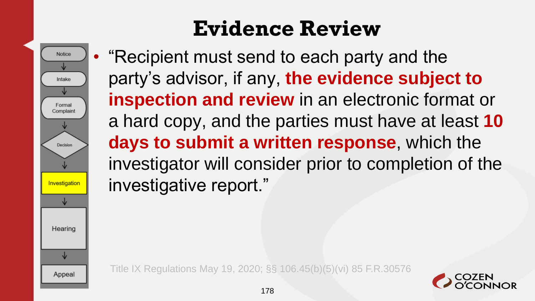

### **Evidence Review**

• "Recipient must send to each party and the party's advisor, if any, **the evidence subject to inspection and review** in an electronic format or a hard copy, and the parties must have at least **10 days to submit a written response**, which the investigator will consider prior to completion of the investigative report."

Title IX Regulations May 19, 2020; §§ 106.45(b)(5)(vi) 85 F.R.30576

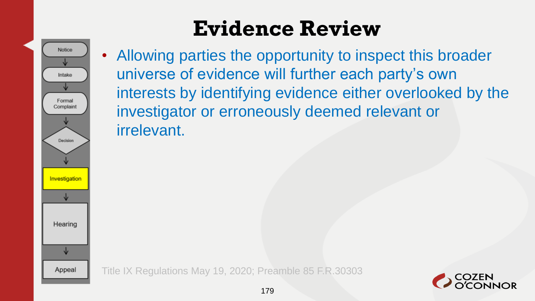### **Evidence Review**



• Allowing parties the opportunity to inspect this broader universe of evidence will further each party's own interests by identifying evidence either overlooked by the investigator or erroneously deemed relevant or irrelevant.

Title IX Regulations May 19, 2020; Preamble 85 F.R.30303

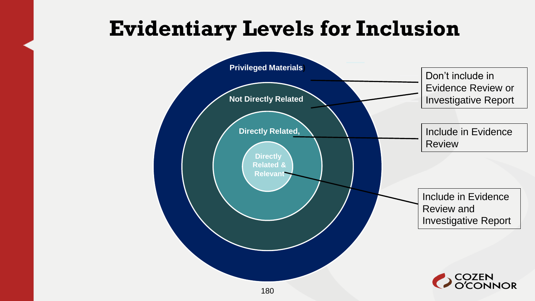#### **Evidentiary Levels for Inclusion**

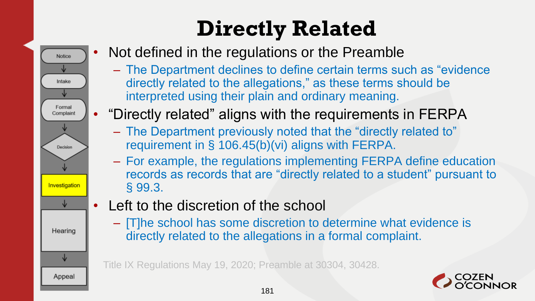

- Not defined in the regulations or the Preamble
	- The Department declines to define certain terms such as "evidence directly related to the allegations," as these terms should be interpreted using their plain and ordinary meaning.
- "Directly related" aligns with the requirements in FERPA
	- The Department previously noted that the "directly related to" requirement in § 106.45(b)(vi) aligns with FERPA.
	- For example, the regulations implementing FERPA define education records as records that are "directly related to a student" pursuant to § 99.3.
- Left to the discretion of the school
	- [T]he school has some discretion to determine what evidence is directly related to the allegations in a formal complaint.

Title IX Regulations May 19, 2020; Preamble at 30304, 30428.

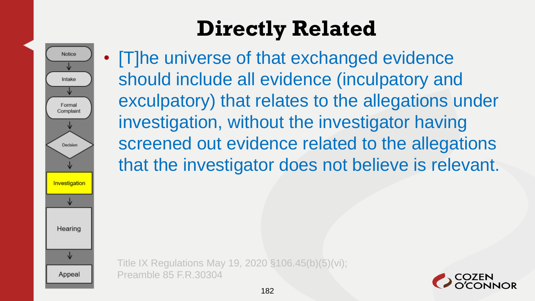Notice Intake Formal Complaint Decision Investigation Hearing ↓ Appeal

• [T]he universe of that exchanged evidence should include all evidence (inculpatory and exculpatory) that relates to the allegations under investigation, without the investigator having screened out evidence related to the allegations that the investigator does not believe is relevant.

Title IX Regulations May 19, 2020 §106.45(b)(5)(vi); Preamble 85 F.R.30304

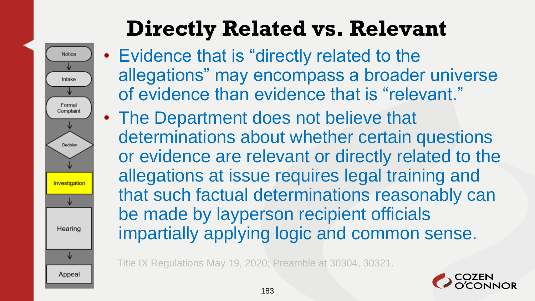# **Directly Related vs. Relevant**

Notice

Intake

Formal Complaint

Decision

Investigation

Hearing

↓

Appeal

- Evidence that is "directly related to the allegations" may encompass a broader universe of evidence than evidence that is "relevant."
- The Department does not believe that determinations about whether certain questions or evidence are relevant or directly related to the allegations at issue requires legal training and that such factual determinations reasonably can be made by layperson recipient officials impartially applying logic and common sense.

Title IX Regulations May 19, 2020; Preamble at 30304, 30321.

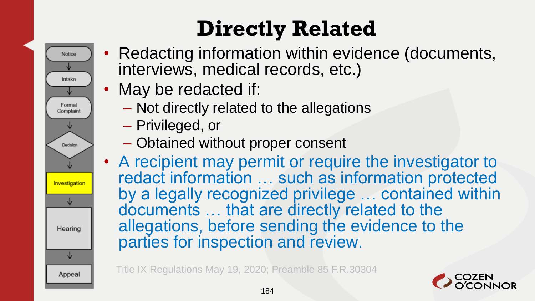- Redacting information within evidence (documents, interviews, medical records, etc.)
	- May be redacted if:
		- Not directly related to the allegations
		- Privileged, or

Notice

Intake

Formal Complaint

Decision

Investigation

Hearing

↓

Appeal

- Obtained without proper consent
- A recipient may permit or require the investigator to redact information … such as information protected by a legally recognized privilege … contained within documents … that are directly related to the allegations, before sending the evidence to the parties for inspection and review.

Title IX Regulations May 19, 2020; Preamble 85 F.R.30304

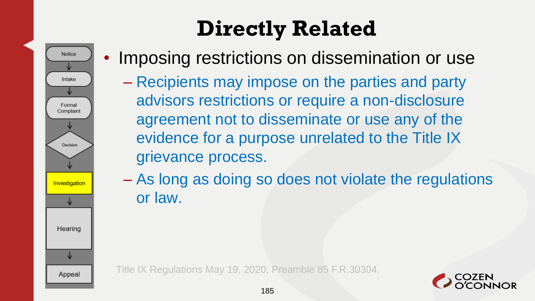

• Imposing restrictions on dissemination or use

– Recipients may impose on the parties and party advisors restrictions or require a non-disclosure agreement not to disseminate or use any of the evidence for a purpose unrelated to the Title IX grievance process.

– As long as doing so does not violate the regulations or law.

Title IX Regulations May 19, 2020; Preamble 85 F.R.30304.

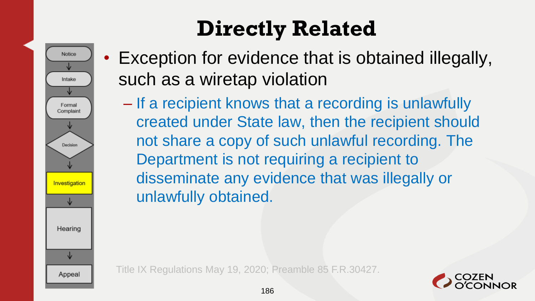

- Exception for evidence that is obtained illegally, such as a wiretap violation
	- If a recipient knows that a recording is unlawfully created under State law, then the recipient should not share a copy of such unlawful recording. The Department is not requiring a recipient to disseminate any evidence that was illegally or unlawfully obtained.

Title IX Regulations May 19, 2020; Preamble 85 F.R.30427.

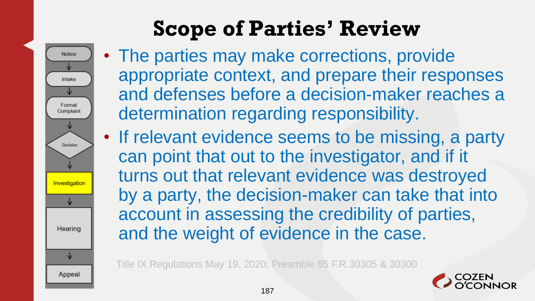# **Scope of Parties' Review**



- The parties may make corrections, provide appropriate context, and prepare their responses and defenses before a decision-maker reaches a determination regarding responsibility.
- If relevant evidence seems to be missing, a party can point that out to the investigator, and if it turns out that relevant evidence was destroyed by a party, the decision-maker can take that into account in assessing the credibility of parties, and the weight of evidence in the case.

Title IX Regulations May 19, 2020; Preamble 85 F.R.30305 & 30300

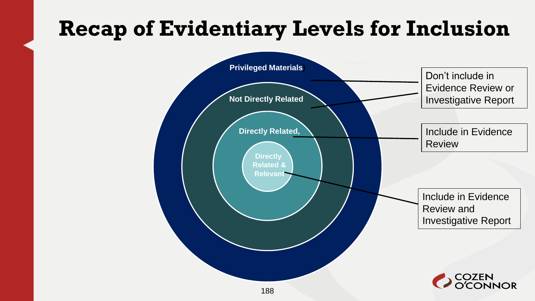#### **Recap of Evidentiary Levels for Inclusion**

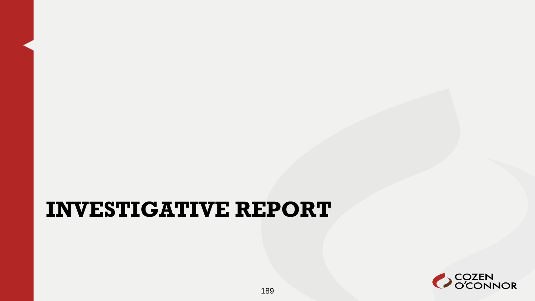#### **INVESTIGATIVE REPORT**

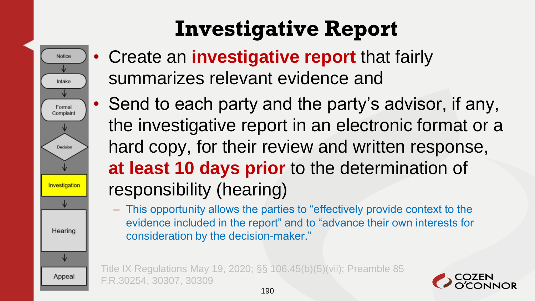• Create an **investigative report** that fairly summarizes relevant evidence and

**Notice** 

Intake

Formal Complaint

Decision

Investigatio

Hearing

↓

Appeal

- Send to each party and the party's advisor, if any, the investigative report in an electronic format or a hard copy, for their review and written response, **at least 10 days prior** to the determination of responsibility (hearing)
	- This opportunity allows the parties to "effectively provide context to the evidence included in the report" and to "advance their own interests for consideration by the decision-maker."

Title IX Regulations May 19, 2020; §§ 106.45(b)(5)(vii); Preamble 85 F.R.30254, 30307, 30309

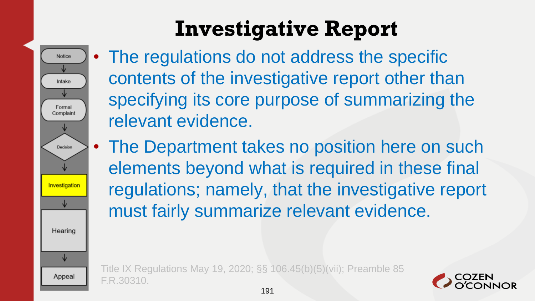• The regulations do not address the specific contents of the investigative report other than specifying its core purpose of summarizing the relevant evidence.

**Notice** 

Intake

Formal Complaint

Decision

Investigatio

Hearing

↓

Appeal

• The Department takes no position here on such elements beyond what is required in these final regulations; namely, that the investigative report must fairly summarize relevant evidence.

Title IX Regulations May 19, 2020; §§ 106.45(b)(5)(vii); Preamble 85 F.R.30310.

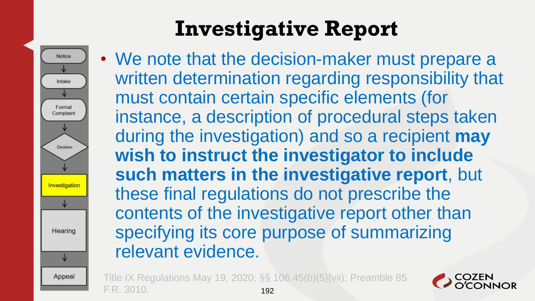

• We note that the decision-maker must prepare a written determination regarding responsibility that must contain certain specific elements (for instance, a description of procedural steps taken during the investigation) and so a recipient **may wish to instruct the investigator to include such matters in the investigative report**, but these final regulations do not prescribe the contents of the investigative report other than specifying its core purpose of summarizing relevant evidence.

Title IX Regulations May 19, 2020; §§ 106.45(b)(5)(vii); Preamble 85 F.R. 3010. 192

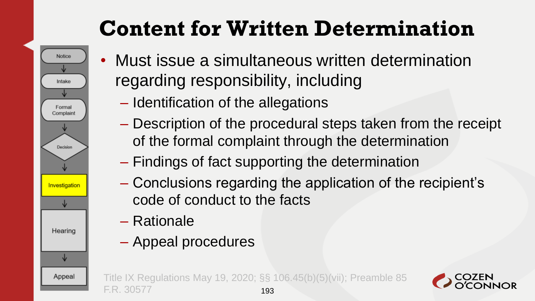# **Content for Written Determination**

- Must issue a simultaneous written determination regarding responsibility, including
	- Identification of the allegations
	- Description of the procedural steps taken from the receipt of the formal complaint through the determination
	- Findings of fact supporting the determination
	- Conclusions regarding the application of the recipient's code of conduct to the facts
	- Rationale

**Notice** 

Intake

Formal Complaint

Decision

Investigatio

Hearing

Appeal

– Appeal procedures

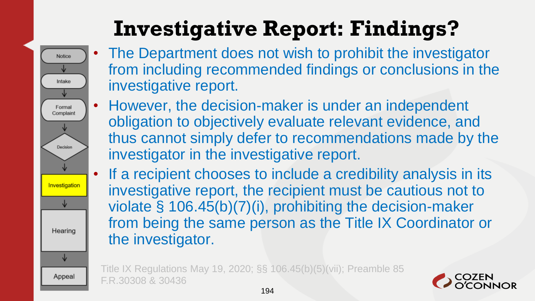# **Investigative Report: Findings?**

**Notice** 

Intake

Formal Complaint

Decision

Investigation

Hearing

↓

Appeal

- The Department does not wish to prohibit the investigator from including recommended findings or conclusions in the investigative report.
- However, the decision-maker is under an independent obligation to objectively evaluate relevant evidence, and thus cannot simply defer to recommendations made by the investigator in the investigative report.
- If a recipient chooses to include a credibility analysis in its investigative report, the recipient must be cautious not to violate § 106.45(b)(7)(i), prohibiting the decision-maker from being the same person as the Title IX Coordinator or the investigator.

Title IX Regulations May 19, 2020; §§ 106.45(b)(5)(vii); Preamble 85 F.R.30308 & 30436

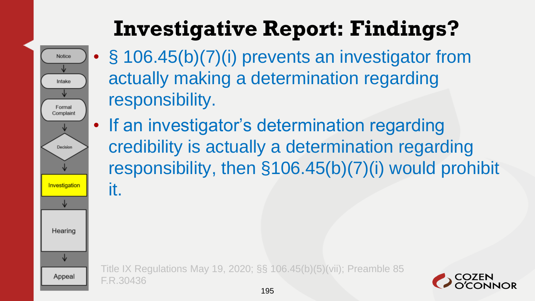

**Investigative Report: Findings?**

- § 106.45(b)(7)(i) prevents an investigator from actually making a determination regarding responsibility.
- If an investigator's determination regarding credibility is actually a determination regarding responsibility, then §106.45(b)(7)(i) would prohibit it.

Title IX Regulations May 19, 2020; §§ 106.45(b)(5)(vii); Preamble 85 F.R.30436

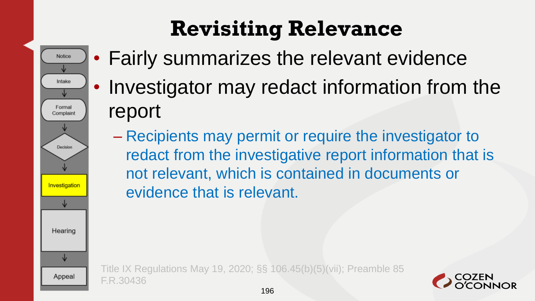## **Revisiting Relevance**

• Fairly summarizes the relevant evidence

Notice

Intake

Formal Complaint

Decision

Investigation

Hearing

Appeal

- Investigator may redact information from the report
	- Recipients may permit or require the investigator to redact from the investigative report information that is not relevant, which is contained in documents or evidence that is relevant.

Title IX Regulations May 19, 2020; §§ 106.45(b)(5)(vii); Preamble 85 F.R.30436

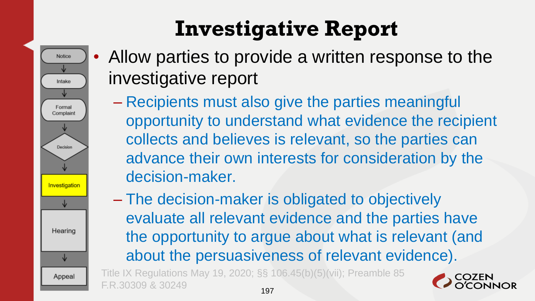

- Allow parties to provide a written response to the investigative report
	- Recipients must also give the parties meaningful opportunity to understand what evidence the recipient collects and believes is relevant, so the parties can advance their own interests for consideration by the decision-maker.
	- The decision-maker is obligated to objectively evaluate all relevant evidence and the parties have the opportunity to argue about what is relevant (and about the persuasiveness of relevant evidence).

Title IX Regulations May 19, 2020; §§ 106.45(b)(5)(vii); Preamble 85 F.R.30309 & 30249 197

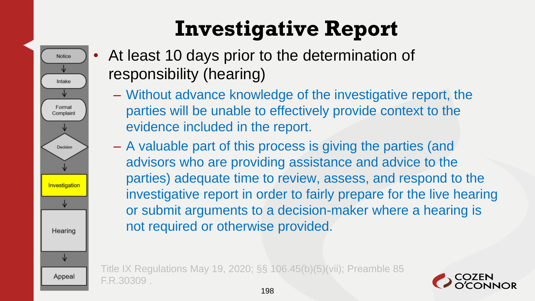At least 10 days prior to the determination of responsibility (hearing)

**Notice** 

Intake

Formal Complaint

Decision

Investigation

Hearing

↓

Appeal

- Without advance knowledge of the investigative report, the parties will be unable to effectively provide context to the evidence included in the report.
- A valuable part of this process is giving the parties (and advisors who are providing assistance and advice to the parties) adequate time to review, assess, and respond to the investigative report in order to fairly prepare for the live hearing or submit arguments to a decision-maker where a hearing is not required or otherwise provided.

Title IX Regulations May 19, 2020; §§ 106.45(b)(5)(vii); Preamble 85 F.R.30309 .

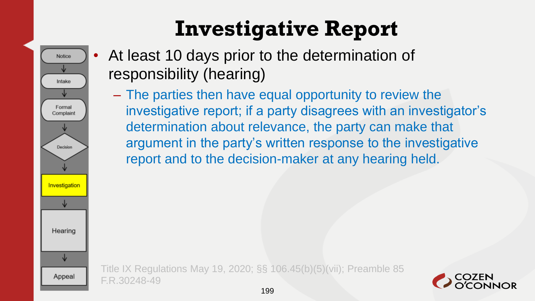

- At least 10 days prior to the determination of responsibility (hearing)
	- The parties then have equal opportunity to review the investigative report; if a party disagrees with an investigator's determination about relevance, the party can make that argument in the party's written response to the investigative report and to the decision-maker at any hearing held.

Title IX Regulations May 19, 2020; §§ 106.45(b)(5)(vii); Preamble 85 F.R.30248-49

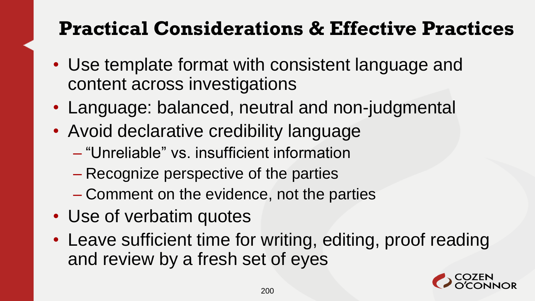#### **Practical Considerations & Effective Practices**

- Use template format with consistent language and content across investigations
- Language: balanced, neutral and non-judgmental
- Avoid declarative credibility language
	- "Unreliable" vs. insufficient information
	- Recognize perspective of the parties
	- Comment on the evidence, not the parties
- Use of verbatim quotes
- Leave sufficient time for writing, editing, proof reading and review by a fresh set of eyes

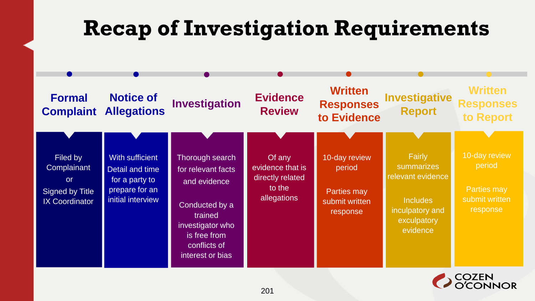#### **Recap of Investigation Requirements**



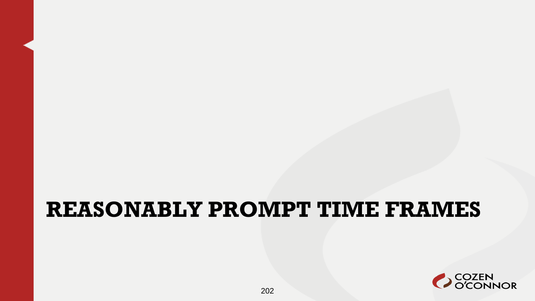#### **REASONABLY PROMPT TIME FRAMES**

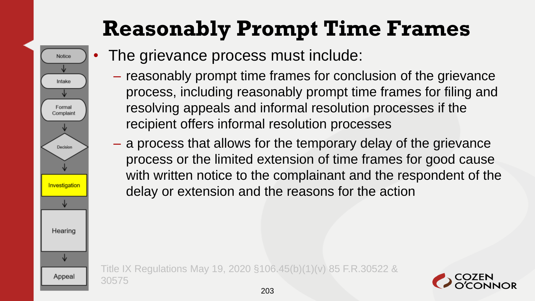#### **Reasonably Prompt Time Frames**

The grievance process must include:

**Notice** 

Intake

Formal Complaint

Decision

Investigatio

Hearing

Appeal

- reasonably prompt time frames for conclusion of the grievance process, including reasonably prompt time frames for filing and resolving appeals and informal resolution processes if the recipient offers informal resolution processes
- a process that allows for the temporary delay of the grievance process or the limited extension of time frames for good cause with written notice to the complainant and the respondent of the delay or extension and the reasons for the action

Title IX Regulations May 19, 2020 §106.45(b)(1)(v) 85 F.R.30522 & 30575

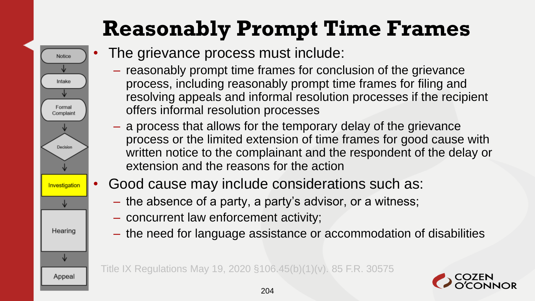### **Reasonably Prompt Time Frames**

- **Notice** Intake Formal Complaint Decision Investigation Hearing ↓ Appeal
- The grievance process must include:
	- reasonably prompt time frames for conclusion of the grievance process, including reasonably prompt time frames for filing and resolving appeals and informal resolution processes if the recipient offers informal resolution processes
	- a process that allows for the temporary delay of the grievance process or the limited extension of time frames for good cause with written notice to the complainant and the respondent of the delay or extension and the reasons for the action
- Good cause may include considerations such as:
	- the absence of a party, a party's advisor, or a witness;
	- concurrent law enforcement activity;
	- the need for language assistance or accommodation of disabilities